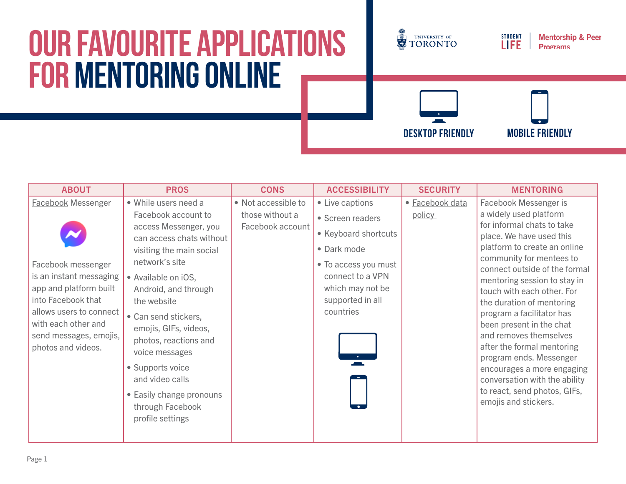## **Our Favourite Applications for Mentoring Online**



**Desktop friendly mobile friendly**

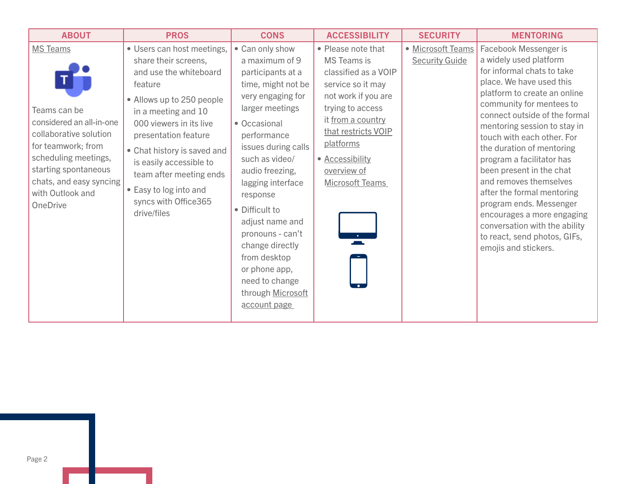| <b>ABOUT</b>                                                                                                                                                                                                                  | <b>PROS</b>                                                                                                                                                                                                                                                                                                                                          | <b>CONS</b>                                                                                                                                                                                                                                                                                                                                                                                                          | <b>ACCESSIBILITY</b>                                                                                                                                                                                                                                  | <b>SECURITY</b>                            | <b>MENTORING</b>                                                                                                                                                                                                                                                                                                                                                                                                                                                                                                                                                     |
|-------------------------------------------------------------------------------------------------------------------------------------------------------------------------------------------------------------------------------|------------------------------------------------------------------------------------------------------------------------------------------------------------------------------------------------------------------------------------------------------------------------------------------------------------------------------------------------------|----------------------------------------------------------------------------------------------------------------------------------------------------------------------------------------------------------------------------------------------------------------------------------------------------------------------------------------------------------------------------------------------------------------------|-------------------------------------------------------------------------------------------------------------------------------------------------------------------------------------------------------------------------------------------------------|--------------------------------------------|----------------------------------------------------------------------------------------------------------------------------------------------------------------------------------------------------------------------------------------------------------------------------------------------------------------------------------------------------------------------------------------------------------------------------------------------------------------------------------------------------------------------------------------------------------------------|
| <b>MS Teams</b><br>Teams can be<br>considered an all-in-one<br>collaborative solution<br>for teamwork; from<br>scheduling meetings,<br>starting spontaneous<br>chats, and easy syncing<br>with Outlook and<br><b>OneDrive</b> | • Users can host meetings,<br>share their screens,<br>and use the whiteboard<br>feature<br>• Allows up to 250 people<br>in a meeting and 10<br>000 viewers in its live<br>presentation feature<br>• Chat history is saved and<br>is easily accessible to<br>team after meeting ends<br>• Easy to log into and<br>syncs with Office365<br>drive/files | • Can only show<br>a maximum of 9<br>participants at a<br>time, might not be<br>very engaging for<br>larger meetings<br>• Occasional<br>performance<br>issues during calls<br>such as video/<br>audio freezing,<br>lagging interface<br>response<br>• Difficult to<br>adjust name and<br>pronouns - can't<br>change directly<br>from desktop<br>or phone app,<br>need to change<br>through Microsoft<br>account page | • Please note that<br><b>MS</b> Teams is<br>classified as a VOIP<br>service so it may<br>not work if you are<br>trying to access<br>it from a country<br>that restricts VOIP<br>platforms<br>• Accessibility<br>overview of<br><b>Microsoft Teams</b> | • Microsoft Teams<br><b>Security Guide</b> | Facebook Messenger is<br>a widely used platform<br>for informal chats to take<br>place. We have used this<br>platform to create an online<br>community for mentees to<br>connect outside of the formal<br>mentoring session to stay in<br>touch with each other. For<br>the duration of mentoring<br>program a facilitator has<br>been present in the chat<br>and removes themselves<br>after the formal mentoring<br>program ends. Messenger<br>encourages a more engaging<br>conversation with the ability<br>to react, send photos, GIFs,<br>emojis and stickers. |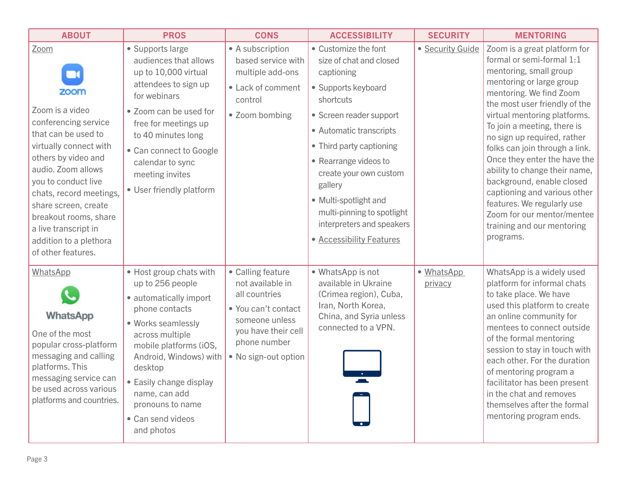| <b>ABOUT</b>                                                                                                                                                                                                                                                                                                                                     | <b>PROS</b>                                                                                                                                                                                                                                                                                        | <b>CONS</b>                                                                                                                                                    | <b>ACCESSIBILITY</b>                                                                                                                                                                                                                                                                                                                                              | <b>SECURITY</b>       | <b>MENTORING</b>                                                                                                                                                                                                                                                                                                                                                                                                                                                                                                                                 |
|--------------------------------------------------------------------------------------------------------------------------------------------------------------------------------------------------------------------------------------------------------------------------------------------------------------------------------------------------|----------------------------------------------------------------------------------------------------------------------------------------------------------------------------------------------------------------------------------------------------------------------------------------------------|----------------------------------------------------------------------------------------------------------------------------------------------------------------|-------------------------------------------------------------------------------------------------------------------------------------------------------------------------------------------------------------------------------------------------------------------------------------------------------------------------------------------------------------------|-----------------------|--------------------------------------------------------------------------------------------------------------------------------------------------------------------------------------------------------------------------------------------------------------------------------------------------------------------------------------------------------------------------------------------------------------------------------------------------------------------------------------------------------------------------------------------------|
| Zoom<br>$\mathbf{r}$<br>zoom<br>Zoom is a video<br>conferencing service<br>that can be used to<br>virtually connect with<br>others by video and<br>audio. Zoom allows<br>you to conduct live<br>chats, record meetings,<br>share screen, create<br>breakout rooms, share<br>a live transcript in<br>addition to a plethora<br>of other features. | • Supports large<br>audiences that allows<br>up to 10,000 virtual<br>attendees to sign up<br>for webinars<br>• Zoom can be used for<br>free for meetings up<br>to 40 minutes long<br>• Can connect to Google<br>calendar to sync<br>meeting invites<br>• User friendly platform                    | • A subscription<br>based service with<br>multiple add-ons<br>• Lack of comment<br>control<br>• Zoom bombing                                                   | • Customize the font<br>size of chat and closed<br>captioning<br>• Supports keyboard<br>shortcuts<br>• Screen reader support<br>• Automatic transcripts<br>• Third party captioning<br>• Rearrange videos to<br>create your own custom<br>gallery<br>• Multi-spotlight and<br>multi-pinning to spotlight<br>interpreters and speakers<br>• Accessibility Features | · Security Guide      | Zoom is a great platform for<br>formal or semi-formal 1:1<br>mentoring, small group<br>mentoring or large group<br>mentoring. We find Zoom<br>the most user friendly of the<br>virtual mentoring platforms.<br>To join a meeting, there is<br>no sign up required, rather<br>folks can join through a link.<br>Once they enter the have the<br>ability to change their name,<br>background, enable closed<br>captioning and various other<br>features. We regularly use<br>Zoom for our mentor/mentee<br>training and our mentoring<br>programs. |
| WhatsApp<br>WhatsApp<br>One of the most<br>popular cross-platform<br>messaging and calling<br>platforms. This<br>messaging service can<br>be used across various<br>platforms and countries.                                                                                                                                                     | • Host group chats with<br>up to 256 people<br>• automatically import<br>phone contacts<br>• Works seamlessly<br>across multiple<br>mobile platforms (iOS,<br>Android, Windows) with<br>desktop<br>• Easily change display<br>name, can add<br>pronouns to name<br>• Can send videos<br>and photos | • Calling feature<br>not available in<br>all countries<br>• You can't contact<br>someone unless<br>you have their cell<br>phone number<br>• No sign-out option | • WhatsApp is not<br>available in Ukraine<br>(Crimea region), Cuba,<br>Iran, North Korea,<br>China, and Syria unless<br>connected to a VPN.                                                                                                                                                                                                                       | • WhatsApp<br>privacy | WhatsApp is a widely used<br>platform for informal chats<br>to take place. We have<br>used this platform to create<br>an online community for<br>mentees to connect outside<br>of the formal mentoring<br>session to stay in touch with<br>each other. For the duration<br>of mentoring program a<br>facilitator has been present<br>in the chat and removes<br>themselves after the formal<br>mentoring program ends.                                                                                                                           |